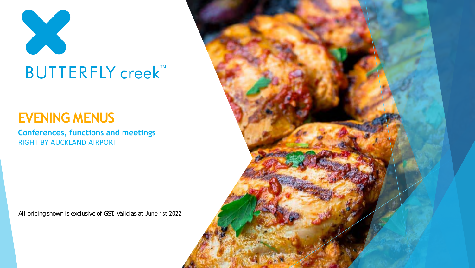# **BUTTERFLY creek™**

### **EVENING MENUS**

**Conferences, functions and meetings** RIGHT BY AUCKLAND AIRPORT

All pricing shown is exclusive of GST. Valid as at June 1st 2022

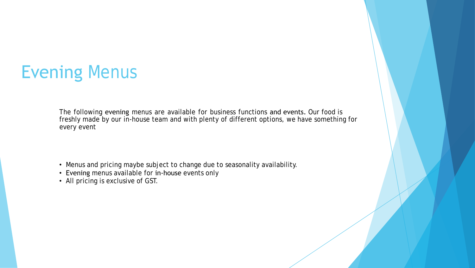### Evening Menus

The following evening menus are available for business functions and events. Our food is freshly made by our in-house team and with plenty of different options, we have something for every event

- Menus and pricing maybe subject to change due to seasonality availability.
- Evening menus available for in-house events only
- All pricing is exclusive of GST.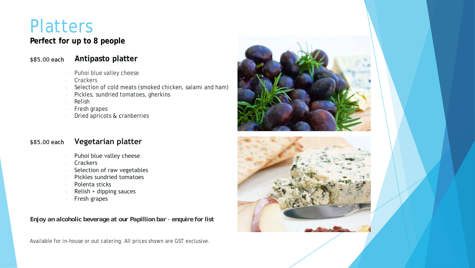## **Platters**

**Perfect for up to 8 people**

#### **\$85.00 each Antipasto platter**

- Puhoi blue valley cheese
- **Crackers**
- Selection of cold meats (smoked chicken, salami and ham)
- Pickles, sundried tomatoes, gherkins
- **Relish**
- Fresh grapes
- Dried apricots & cranberries

#### **\$85.00 each Vegetarian platter**

- Puhoi blue valley cheese
- **Crackers**
- Selection of raw vegetables
- Pickles sundried tomatoes
- Polenta sticks
- Relish + dipping sauces
- Fresh grapes

*Enjoy an alcoholic beverage at our Papillion bar – enquire for list*

Available for in-house or out catering. All prices shown are GST exclusive.



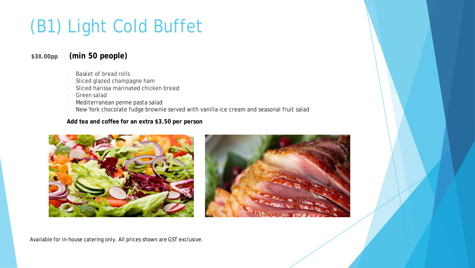# (B1) Light Cold Buffet

**\$38.00pp (min 50 people)**

- Basket of bread rolls
- Sliced glazed champagne ham
- Sliced harissa marinated chicken breast
- Green salad
- Mediterranean penne pasta salad
- New York chocolate fudge brownie served with vanilla ice cream and seasonal fruit salad

**Add tea and coffee for an extra \$3.50 per person**



Available for in-house catering only. All prices shown are GST exclusive.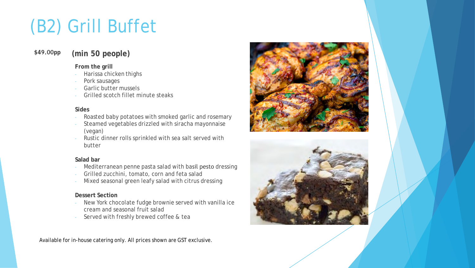# (B2) Grill Buffet

#### **\$49.00pp (min 50 people)**

#### **From the grill**

- Harissa chicken thighs
- Pork sausages
- Garlic butter mussels
- Grilled scotch fillet minute steaks

#### **Sides**

- Roasted baby potatoes with smoked garlic and rosemary
- Steamed vegetables drizzled with siracha mayonnaise (vegan)
- Rustic dinner rolls sprinkled with sea salt served with butter

#### **Salad bar**

- Mediterranean penne pasta salad with basil pesto dressing
- Grilled zucchini, tomato, corn and feta salad
- Mixed seasonal green leafy salad with citrus dressing

#### **Dessert Section**

- New York chocolate fudge brownie served with vanilla ice cream and seasonal fruit salad
- Served with freshly brewed coffee & tea

Available for in-house catering only. All prices shown are GST exclusive.



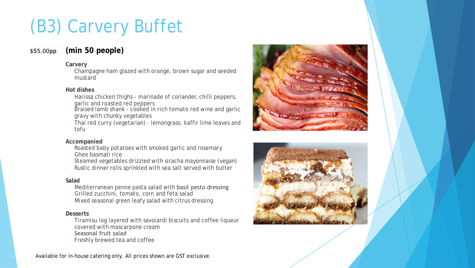# (B3) Carvery Buffet

#### **\$55.00pp (min 50 people)**

#### **Carvery**

- Champagne ham glazed with orange, brown sugar and seeded mustard

#### **Hot dishes**

- Harissa chicken thighs marinade of coriander, chilli peppers, garlic and roasted red peppers
- Braised lamb shank cooked in rich tomato red wine and garlic gravy with chunky vegetables
- Thai red curry (vegetarian) lemongrass, kaffir lime leaves and tofu

#### **Accompanied**

- Roasted baby potatoes with smoked garlic and rosemary
- Ghee basmati rice
- Steamed vegetables drizzled with siracha mayonnaise (vegan)
- Rustic dinner rolls sprinkled with sea salt served with butter

#### **Salad**

- Mediterranean penne pasta salad with basil pesto dressing
- Grilled zucchini, tomato, corn and feta salad
- Mixed seasonal green leafy salad with citrus dressing

#### **Desserts**

- Tiramisu log layered with savoiardi biscuits and coffee liqueur covered with mascarpone cream
- Seasonal fruit salad
- Freshly brewed tea and coffee

Available for in-house catering only. All prices shown are GST exclusive.